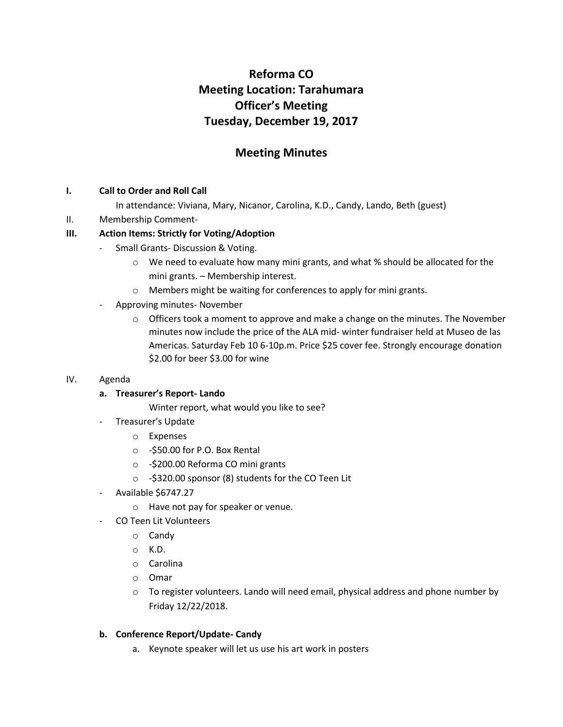# **Reforma CO Meeting Location: Tarahumara Officer's Meeting Tuesday, December 19, 2017**

## **Meeting Minutes**

#### **I. Call to Order and Roll Call**

- In attendance: Viviana, Mary, Nicanor, Carolina, K.D., Candy, Lando, Beth (guest)
- II. Membership Comment-

#### **III. Action Items: Strictly for Voting/Adoption**

- Small Grants- Discussion & Voting.
	- $\circ$  We need to evaluate how many mini grants, and what % should be allocated for the mini grants. – Membership interest.
	- o Members might be waiting for conferences to apply for mini grants.
- Approving minutes- November
	- $\circ$  Officers took a moment to approve and make a change on the minutes. The November minutes now include the price of the ALA mid- winter fundraiser held at Museo de las Americas. Saturday Feb 10 6-10p.m. Price \$25 cover fee. Strongly encourage donation \$2.00 for beer \$3.00 for wine

#### IV. Agenda

#### **a. Treasurer's Report- Lando**

Winter report, what would you like to see?

- Treasurer's Update
	- o Expenses
	- o -\$50.00 for P.O. Box Rental
	- o -\$200.00 Reforma CO mini grants
	- o -\$320.00 sponsor (8) students for the CO Teen Lit
- Available \$6747.27
	- o Have not pay for speaker or venue.
- CO Teen Lit Volunteers
	- o Candy
	- o K.D.
	- o Carolina
	- o Omar
	- $\circ$  To register volunteers. Lando will need email, physical address and phone number by Friday 12/22/2018.

#### **b. Conference Report/Update- Candy**

a. Keynote speaker will let us use his art work in posters